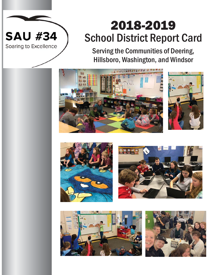# 2018-2019 School District Report Card

Serving the Communities of Deering, Hillsboro, Washington, and Windsor







**SAU #34** 

Soaring to Excellence



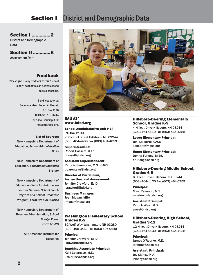# **Section I** District and Demographic Data

 $\mathbf{R}$ 

### SAU #34 www.hdsd.org

School Administrative Unit # 34 P.O.Box 2190 78 School Street Hillsboro, NH 03244 (603) 464-4466 Fax (603) 464-4053

Superintendent: Robert Hassett, M.Ed. rhassett@hdsd.org

Assistant Superintendent: Patricia Parenteau, M.S., CAGS pparenteau@hdsd.org

Director of Curriculum, Instruction, and Assessment: Jennifer Crawford, Ed.D jcrawford@hdsd.org

Business Manager: Jean Mogan, MBA jmogan@hdsd.org

### Washington Elementary School, Grades K-5

62 Wolf Way Washington, NH 03280 (603) 495-3463 Fax (603) 495-0140

Principal: Jennifer Crawford, Ed.D jcrawford@hdsd.org

Teaching Associate Principal: Kelli Colarusso, M.Ed kcolarusso@hdsd.org

### Hillsboro-Deering Elementary School, Grades K-5

4 Hillcat Drive Hillsboro, NH 03244 (603) 464-1110 Fax (603) 464-4385

Lower Elementary Principal: Jeni Laliberte, CAGS jlaliberte@hdsd.org

Upper Elementary Principal: Donna Furlong, M.Ed. dfurlong@hdsd.org

### Hillsboro-Deering Middle School, Grades 6-8

6 Hillcat Drive Hillsboro, NH 03244 (603) 464-1120 Fax (603) 464-5759

Principal: Marc Peterson, M.S. mpeterson@hdsd.org

Assistant Principal: Patrick West, M.S. pwest@hdsd.org

### Hillsboro-Deering High School, Grades 9-12

12 Hillcat Drive Hillsboro, NH 03244 (603) 464-1130 Fax (603) 464-4028

Principal: James O'Rourke, M.Ed jorourke@hdsd.org

Assistant Principal: Joy Clancy, M.A. jclancy@hdsd.org

# **Section I ..............2**

District and Demographic Data

Section II .............8 Assessment Data

## Feedback

Please give us any feedback to this "School Report" so that we can better respond to your concerns.

> Send feedback to: Superintendent Robert A. Hassett P.O. Box 2190 Hillsboro, NH 03244 or e-mail your input to: rhassett@hdsd.org.

### List of Sources:

New Hampshire Department of Education, *School Administrative Units*

New Hampshire Department of Education, *Educational Statistics System*

New Hampshire Department of Education, *Claim for Reimbursement for National School Lunch Program and School Breakfast Program, Form BNPSALB-4(95)*

New Hampshire Department of Revenue Administration, *School Budget Form, Form MS-26*

> AIR-American Institute for Research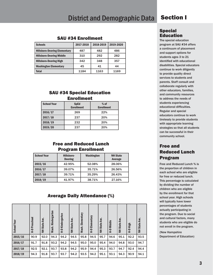# District and Demographic Data Section I

### SAU #34 Enrollment

| <b>Schools</b>                      | 2017-2018 | 2018-2019 | 2019-2020 |
|-------------------------------------|-----------|-----------|-----------|
| <b>Hillsboro-Deering Elementary</b> | 487       | 482       | 486       |
| <b>Hillsboro-Deering Middle</b>     | 310       | 292       | 282       |
| <b>Hillsboro-Deering High</b>       | 342       | 348       | 357       |
| <b>Washington Elementary</b>        | 45        | 41        | 44        |
| Total                               | 1184      | 1163      | 1169      |

### SAU #34 Special Education **Enrollment**

| <b>School Year</b> | <b>SpEd</b><br><b>Enrollment</b> | $%$ of<br><b>Enrollment</b> |
|--------------------|----------------------------------|-----------------------------|
| 2016/17            | 269                              | 22%                         |
| 2017/18            | 237                              | 20%                         |
| 2018/19            | 232                              | 20%                         |
| 2019/20            | 237                              | 20%                         |

### Free and Reduced Lunch Program Enrollment

| School Year<br>Hillsboro-<br><b>Deering</b> |        | <b>Washington</b> | <b>NH State</b><br>Average |
|---------------------------------------------|--------|-------------------|----------------------------|
| 2015/16                                     | 42.95% | 52.08%            | 28.06%                     |
| 2016/17                                     | 39.07% | 35.71%            | 26.56%                     |
| 2017/18                                     | 39.71% | 35.29%            | 26.43%                     |
| 2018/19                                     | 41.97% | 38.71%            | 27.16%                     |

### Average Daily Attendance (%)

| <b>School Year</b> | Preschool<br>읖 | State Ave.<br>E | Kindergarten<br>Wash. | Kindergarten<br>오 | State Ave.<br>E | Elementary<br>Wash. | Elementary<br>오 | Ave.<br>State,<br>E | <b>H-D Middle</b> | State Ave.<br>E | High<br>읖 | <b>State Ave</b><br>E |
|--------------------|----------------|-----------------|-----------------------|-------------------|-----------------|---------------------|-----------------|---------------------|-------------------|-----------------|-----------|-----------------------|
| 2015/16            | 90.9           | 92.0            | 94.3                  | 94.2              | 94.5            | 95.8                | 94.5            | 95.7                | 94.6              | 95.1            | 92.2      | 93.5                  |
| 2016/17            | 91.7           | 91.8            | 93.2                  | 94.2              | 94.5            | 95.0                | 95.0            | 95.4                | 94.0              | 94.8            | 93.0      | 94.7                  |
| 2017/18            | 92.5           | 92.1            | 93.7                  | 93.8              | 94.2            | 95.9                | 94.4            | 95.3                | 93.7              | 94.7            | 92.4      | 94.4                  |
| 2018/19            | 94.3           | 91.8            | 93.7                  | 93.7              | 94.2            | 93.5                | 94.2            | 95.1                | 93.1              | 94.3            | 90.9      | 94.1                  |

### Special Education

The special education program at SAU #34 offers a continuum of placement and support options for students ages 3 to 21 identified with educational disabilities. Special educators continue to work diligently to provide quality direct services to students and parents. Staff consult and collaborate regularly with other educators, families, and community resources to address the needs of students experiencing educational difficulties. Regular and special educators continue to work tirelessly to provide students with appropriate learning strategies so that all students can be successful in their community school.

# Free and Reduced Lunch Program

Free and Reduced Lunch % is the proportion of children in each school who are eligible for free or reduced lunch. This percentage is calculated by dividing the number of children who are eligible by the enrollment for that school year. High schools will typically have lower percentages of students actually participating in the program. Due to social and cultural factors, many students who are eligible do not enroll in the program.

(New Hampshire Department of Education)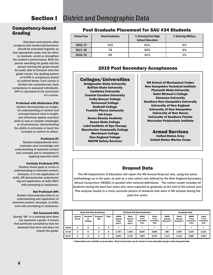### Competency-based Grading

Educators and parents alike recognize that student performance should be evaluated regularly so that appropriate steps may be taken to maintain, enrich or strengthen the student's performance. Both the person awarding the grade and the person earning the grade should be easily able to interpret what the grade means. Our grading system at H-DHS is competency based as outlined below. Each course is divided into competencies. Each competency is assessed individually. GPA is calculated at the conclusion of a course.

### **Proficient with Distinction (PD)**

Student demonstrates an insightful understanding of content and concepts beyond what is taught, and effectively applies essential skills to new or complex challenges or circumstances, demonstrating the ability to articulate or teach the concepts or content to others.

### **Proficient (P)**

Student independently demonstrates clear knowledge and understanding of essential content and concepts and is competent in applying essential skills

### **Partially Proficient (PP)**

Student shows gaps or errors in understanding of essential content, concepts, or in the application of skills, OR demonstrates understanding and application of skills ONLY with prompting or assistance.

### **Not Proficient (NP)**

Student demonstrates little to no understanding and application of essential content, concepts, or skills, even with prompting or assistance.

### Not Assessed (NA)

Seeing "NA" in a marking term does not represent a grade. It means that particular competency was not assessed that term and does not impact the grade.

### Post Graduate Placement for SAU #34 Students

| <b>School Year</b> | <b>Total Graduates</b> | % Entering Post High<br><b>School Education</b> | % Entering Military |
|--------------------|------------------------|-------------------------------------------------|---------------------|
| 2016/17            | 102                    | 61%                                             | 5%                  |
| 2017/18            | 78                     | 50%                                             | 6%                  |
| 2018/19            | 69                     | 41%                                             | 1%                  |

### 2019 Post Secondary Acceptances

### Colleges/Universities

Bridgewater State University Buffalo State University Castleton University Coastal Carolina University Colby-Sawyer College Emmanuel College Endicott College Franklin Pierce University Job Corps Keene Beauty Academy Keene State College Laird Institute of Spa Therapy Manchester Community College Merrimack College New England College NHCPR Safety Services

NH School of Mechanical Trades New Hampshire Technical Institute Plymouth State University Saint Michael's College Simmons University Southern New Hampshire University University of New England University of New Hampshire University of New Haven University of Southern Florida Worcester Polytechnic Institute

### Armed Services United States Army United States Marine Corps

## Dropout Data

The NH Department of Education will report the NH Annual Drop-out rate, using the same methodology as in the past, as well as a new cohort rate defined by the New England Secondary School Consortium (NESSC) in parallel with national definitions. The cohort model includes all students during the past four years who were expected to graduate at the end of the school year. This analysis results in a more accurate picture of students who were in NH schools during the past four years.

|       | <b>Early Exit Non-Graduates</b> |                                  |                         |              | <b>All Early Exit Non-Graduates</b>      |                                           |                                                    |                                                     | <b>Dropouts Only</b>                      |                                                   |                                                    |                                                     |
|-------|---------------------------------|----------------------------------|-------------------------|--------------|------------------------------------------|-------------------------------------------|----------------------------------------------------|-----------------------------------------------------|-------------------------------------------|---------------------------------------------------|----------------------------------------------------|-----------------------------------------------------|
|       | <b>Earned</b><br>Hi set         | <b>Enrolled</b><br>In<br>College | <b>Dropped</b><br>Out   | <b>Total</b> | <b>HDHS</b><br>Annual<br>Early<br>Exit % | <b>State</b><br>Annual<br>Early<br>Exit % | <b>HDHS</b><br>4 Year<br><b>Cumulative</b><br>Rate | <b>State</b><br>4 Year<br><b>Cumulative</b><br>Rate | <b>HDHS</b><br>Annual<br><b>Dropout</b> % | <b>State</b><br><b>Annual</b><br><b>Dropout</b> % | <b>HDHS</b><br>4 Year<br><b>Cumulative</b><br>Rate | <b>State</b><br>4 Year<br><b>Cumulative</b><br>Rate |
| 18-19 | $\mathbf{2}$                    | 0                                |                         | з            | $\star$                                  | $\star$                                   | $\star$                                            | $\ast$                                              | $\star$                                   | $\star$                                           | $\star$                                            | $\ast$                                              |
| 17-18 | 4                               | 0                                | $\overline{\mathbf{2}}$ | 6            | 1.75%                                    | 1.50%                                     | 6.84%                                              | 5.88%                                               | .58%                                      | 1.05%                                             | 2.32%                                              | 4.15%                                               |
| 16-17 | 3                               | 0                                | 4                       |              | 2.04%                                    | 1.72%                                     | 7.92%                                              | 6.72%                                               | 1.17%                                     | 1.12%                                             | 4.58%                                              | 4.42%                                               |

\* Information not available at press-time. Most recent data can be found at www.education.nh.gov/data/dropouts.htm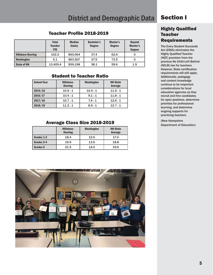# District and Demographic Data Section I

### **Highly Qualified Teacher Requirements**

The Every Student Succeeds Act (ESSA) eliminates the Highly Qualified Teacher (HQT) provision from the previous No Child Left Behind (NCLB) law for teachers. However, State certification requirements will still apply. Additionally, pedagogy and content knowledge continue to be important considerations for local education agencies as they recruit and hire candidates for open positions, determine priorities for professional learning, and determine ongoing supports for practicing teachers.

(New Hampshire Department of Education)

## Teacher Profile 2018-2019

|                          | <b>Total</b><br><b>Teacher</b><br><b>FTE</b> | <b>Median</b><br><b>Salary</b> | <b>Bachelor's</b><br><b>Degree</b> | Master's<br><b>Degree</b> | <b>Beyond</b><br>Master's<br><b>Degree</b> |
|--------------------------|----------------------------------------------|--------------------------------|------------------------------------|---------------------------|--------------------------------------------|
| <b>Hillsboro-Deering</b> | 102.2                                        | \$60,064                       | 37.4                               | 62.6                      |                                            |
| <b>Washington</b>        | 5.1                                          | \$63,507                       | 27.5                               | 72.5                      | 0                                          |
| <b>State of NH</b>       | 13.409.4                                     | \$59.198                       | 38.1                               | 59.6                      | 1.9                                        |

# Student to Teacher Ratio

| <b>School Year</b><br>Hillsboro-<br><b>Deering</b> |        | Washington | <b>NH State</b><br>Average |  |  |
|----------------------------------------------------|--------|------------|----------------------------|--|--|
| 2015/16                                            | 10.9:1 | 10.4:1     | 11.9:1                     |  |  |
| 2016/17                                            | 10.4:1 | 9.1:1      | 11.8:1                     |  |  |
| 2017/18                                            | 10.7:1 | 7.4:1      | 12.6:1                     |  |  |
| 2018/19                                            | 11.2:1 | 8.9:1      | 12.7:1                     |  |  |

## Average Class Size 2018-2019

|            | Hillsboro-<br><b>Deering</b> | Washington | <b>NH State</b><br>Average |
|------------|------------------------------|------------|----------------------------|
| Grades 1-2 | 18.4                         | 12.5       | 17.4                       |
| Grades 3-4 | 19.9                         | 13.6       | 18.8                       |
| Grades 5   | 21.5                         | 14.0       | 19.6                       |

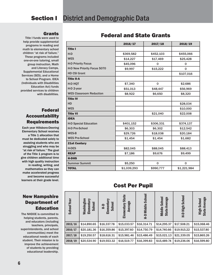# **Section I** District and Demographic Data

### Grants

Title I funds were used to help provide supplemental programs in reading and math to elementary school children "at risk of failure." These programs included one-on-one tutoring, small group instruction, Math and Literacy Camps, Supplemental Educational Services (SES), and a Home to School Program. IDEA (Individuals with Disabilities Education Act) funds provided services to children with disabilities.

### Federal Accountability Requirements

Each year Hillsboro-Deering Elementary School receives a Title 1 allocation that must be dedicated solely to assisting students who are struggling and who may be "at risk of failure." The goal of the Title 1 program is to give children additional time with high quality instruction in reading, writing, and mathematics so they can make accelerated progress and become successful learners at their grade level.

## New Hampshire Department of Education

The NHDOE is committed to helping students, parents, and educators (including teachers, principals, superintendents, and school communities) meet the educational needs of each student. Their mission is to improve the achievement of students by providing educational leadership.

# Federal and State Grants

|                                | 2016/17     | 2017/18      | 2018/19      |
|--------------------------------|-------------|--------------|--------------|
| <b>Title I</b>                 |             |              |              |
| $H-D$                          | \$369,582   | \$452,103    | \$455,066    |
| <b>WES</b>                     | \$14,227    | \$17,469     | \$25,428     |
| <b>H-D Priority Focus</b>      | \$45,096    | 0            | $\mathbf 0$  |
| H-D New Priority Focus 5070    | \$9,997     | \$15,222     | $\mathbf{0}$ |
| <b>HD CSI Grant</b>            |             |              | \$107,016    |
| <b>Title II-A</b>              |             |              |              |
| H-D HQT                        | \$7,340     | $\Omega$     | \$2,686      |
| H-D 2-year                     | \$51,013    | \$48,447     | \$56,969     |
| <b>WES Classroom Reduction</b> | \$8,922     | \$6,650      | \$8,320      |
| <b>Title IV</b>                |             |              |              |
| <b>HD</b>                      |             |              | \$28,034     |
| <b>WES</b>                     |             |              | \$10,000     |
| <b>Title VI</b>                |             | \$21,040     | \$22,008     |
| <b>IDEA</b>                    |             |              |              |
| <b>H-D Special Education</b>   | \$401,152   | \$306,331    | \$374,137    |
| <b>H-D Pre-School</b>          | \$6,303     | \$6,302      | \$12,542     |
| WES-B                          | \$29,726    | \$18,038     | \$20,184     |
| <b>WES Pre-School</b>          | \$1,454     | \$1,454      | \$1,682      |
| <b>21st Century</b>            |             |              |              |
| <b>H-DES</b>                   | \$82,045    | \$88,045     | \$88,413     |
| <b>REAP</b>                    | \$7,186     | \$9,676      | \$9,499      |
| <b>H-DHS</b>                   |             |              |              |
| <b>Summer Summit</b>           | \$5,250     | $\mathbf{0}$ | $\mathbf{0}$ |
| <b>TOTAL</b>                   | \$1,039,293 | \$990,777    | \$1,221,984  |

# Cost Per Pupil

| <b>School Year</b> | ngton<br>Elementary<br>School<br>Washir | <b>Aleq</b><br>School<br><b>Elemen</b><br>읖 | <b>State</b><br>Average<br>Elementary | School<br><b>Middle</b><br>$\frac{1}{1}$ | <b>School</b><br>Average<br>Middle<br>State | H-D High School | Average<br>High School<br>State |
|--------------------|-----------------------------------------|---------------------------------------------|---------------------------------------|------------------------------------------|---------------------------------------------|-----------------|---------------------------------|
| 2015/16            | \$14,890.65                             | \$16,337.78                                 | \$15,033.57                           | \$16,314.71                              | \$14,295.37                                 | \$17,508.21     | \$15,068.46                     |
| 2016/17            | \$20,181.36                             | \$16,359.86                                 | \$15,397.60                           | \$14,750.79                              | \$14,740.66                                 | \$19,915.22     | \$15,537.80                     |
| 2017/18            | \$19,250.57                             | \$18,616.31                                 | \$15,981.46                           | \$15,486.49                              | \$15,021.13                                 | \$21,339.05     | \$15,865.26                     |
| 2018/19            | \$20,534.90                             | \$19,553.32                                 | \$16,519.77                           | \$16,399.83                              | \$15,489.74                                 | \$19,236.06     | \$16,599.80                     |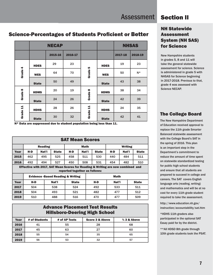# **District and Demographic Data Section II**

## NH Statewide Assessment System (NH SAS) for Science

New Hampshire students in grades 5, 8 and 11 will take the general statewide assessment for science. Science is administered in grade 5 with NHSAS for Science beginning in 2017-2018. Previous to that, grade 4 was assessed with Science NECAP.

## The College Board

The New Hampshire Department of Education received approval to replace the 11th grade Smarter Balanced statewide assessment with the College Board's SAT in the spring of 2016. This plan is an important step in the Department's commitment to reduce the amount of time spent on statewide standardized testing for public high school students and ensure that all students are prepared to succeed in college and careers. The SAT covers English language arts (reading, writing) and mathematics and will be at no cost for every 11th grade student required to take the assessment.

http://www.education.nh.gov/ instruction/accountability/sat.htm

\*HDHS 11th graders also participated in the optional SAT Essay paid for by the district.

\*\*All HDSD 8th grade through 10th grade students took the PSAT.

# Science-Percentages of Students Proficient or Better

|         |              | <b>NECAP</b> |         |              |              |         | <b>NHSAS</b> |
|---------|--------------|--------------|---------|--------------|--------------|---------|--------------|
|         |              | 2015-16      | 2016-17 |              |              | 2017-18 | 2018-19      |
|         | <b>HDES</b>  | 29           | 23      | LO,          | <b>HDES</b>  | 19      | 23           |
| Grade 4 | <b>WES</b>   | 64           | 70      | <b>Grade</b> | <b>WES</b>   | 50      | $N^*$        |
|         | <b>State</b> | 50           | 49      |              | <b>State</b> | 43      | 38           |
| Grade 8 | <b>HDMS</b>  | 20           | 19      | œ            | <b>HDMS</b>  | 38      | 34           |
|         | <b>State</b> | 24           | 26      | Grade        | <b>State</b> | 42      | 39           |
| 닠       | <b>HDHS</b>  | 28           | 26      | 칰            | <b>HDHS</b>  | 24      | 35           |
| Grade   | <b>State</b> | 30           | 32      | Grade        | <b>State</b> | 42      | 41           |

N\* Data are suppressed due to student population being less than 11.

| <b>SAT Mean Scores</b>                                                                                                      |                                              |       |              |              |       |              |         |       |              |
|-----------------------------------------------------------------------------------------------------------------------------|----------------------------------------------|-------|--------------|--------------|-------|--------------|---------|-------|--------------|
|                                                                                                                             | <b>Reading</b>                               |       |              | <b>Math</b>  |       |              | Writing |       |              |
| Year                                                                                                                        | H-D                                          | Nat'l | <b>State</b> | H-D          | Nat'l | <b>State</b> | H-D     | Nat'l | <b>State</b> |
| 2015                                                                                                                        | 462                                          | 495   | 525          | 458          | 511   | 530          | 440     | 484   | 511          |
| 2016                                                                                                                        | 492                                          | 494   | 527          | 450          | 508   | 531          | 454     | 482   | 510          |
| <b>Effective with 2017, SAT Mean Scores for Reading &amp; Writing are now combined and</b><br>reported together as follows: |                                              |       |              |              |       |              |         |       |              |
|                                                                                                                             | <b>Evidence -Based Reading &amp; Writing</b> |       |              |              |       | <b>Math</b>  |         |       |              |
| Year                                                                                                                        | H-D                                          |       | Nat'l        | <b>State</b> |       | H-D          | Nat'l   |       | <b>State</b> |
| 2017                                                                                                                        | 504                                          |       | 538          | 524          |       | 492          | 533     |       | 511          |
| 2018                                                                                                                        | 504                                          |       | 493          | 521          |       | 482          | 477     |       | 512          |
| 2019                                                                                                                        | 510                                          |       | 488          | 516          |       | 470          | 477     |       | 509          |

# Advance Placement Test Results Hillsboro-Deering High School

| <b>Year</b> | # of Students | # of AP Tests | <b>Score 3 &amp; Above</b> | % 3 & Above |
|-------------|---------------|---------------|----------------------------|-------------|
| 2016        | 41            | 55            | 28                         | 68          |
| 2017        | 45            | 63            | 27                         | 60          |
| 2018        | 55            | 54            | 35                         | 65          |
| 2019        | 56            | 53            | 32                         | 57          |